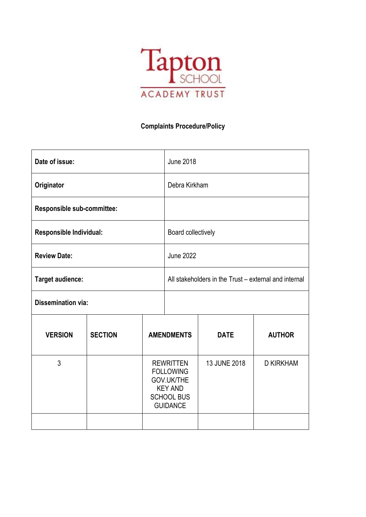

# **Complaints Procedure/Policy**

| Date of issue:             |                |                                                                                                              | <b>June 2018</b>                                      |              |                  |
|----------------------------|----------------|--------------------------------------------------------------------------------------------------------------|-------------------------------------------------------|--------------|------------------|
| Originator                 |                |                                                                                                              | Debra Kirkham                                         |              |                  |
| Responsible sub-committee: |                |                                                                                                              |                                                       |              |                  |
| Responsible Individual:    |                |                                                                                                              | Board collectively                                    |              |                  |
| <b>Review Date:</b>        |                |                                                                                                              | <b>June 2022</b>                                      |              |                  |
| <b>Target audience:</b>    |                |                                                                                                              | All stakeholders in the Trust – external and internal |              |                  |
| <b>Dissemination via:</b>  |                |                                                                                                              |                                                       |              |                  |
| <b>VERSION</b>             | <b>SECTION</b> | <b>AMENDMENTS</b>                                                                                            |                                                       | <b>DATE</b>  | <b>AUTHOR</b>    |
| 3                          |                | <b>REWRITTEN</b><br><b>FOLLOWING</b><br>GOV.UK/THE<br><b>KEY AND</b><br><b>SCHOOL BUS</b><br><b>GUIDANCE</b> |                                                       | 13 JUNE 2018 | <b>D KIRKHAM</b> |
|                            |                |                                                                                                              |                                                       |              |                  |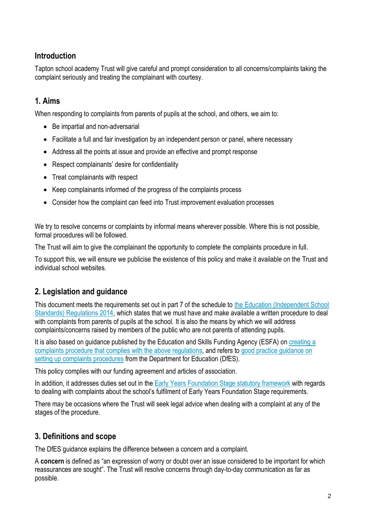# **Introduction**

Tapton school academy Trust will give careful and prompt consideration to all concerns/complaints taking the complaint seriously and treating the complainant with courtesy.

# **1. Aims**

When responding to complaints from parents of pupils at the school, and others, we aim to:

- Be impartial and non-adversarial
- Facilitate a full and fair investigation by an independent person or panel, where necessary
- Address all the points at issue and provide an effective and prompt response
- Respect complainants' desire for confidentiality
- Treat complainants with respect
- Keep complainants informed of the progress of the complaints process
- Consider how the complaint can feed into Trust improvement evaluation processes

We try to resolve concerns or complaints by informal means wherever possible. Where this is not possible, formal procedures will be followed.

The Trust will aim to give the complainant the opportunity to complete the complaints procedure in full.

To support this, we will ensure we publicise the existence of this policy and make it available on the Trust and individual school websites.

# **2. Legislation and guidance**

This document meets the requirements set out in part 7 of the schedule to the [Education \(Independent School](http://www.legislation.gov.uk/uksi/2014/3283/schedule/made)  [Standards\) Regulations 2014,](http://www.legislation.gov.uk/uksi/2014/3283/schedule/made) which states that we must have and make available a written procedure to deal with complaints from parents of pupils at the school. It is also the means by which we will address complaints/concerns raised by members of the public who are not parents of attending pupils.

It is also based on guidance published by the Education and Skills Funding Agency (ESFA) on [creating a](https://www.gov.uk/government/publications/setting-up-an-academies-complaints-procedure)  complaints [procedure that complies with the above regulations,](https://www.gov.uk/government/publications/setting-up-an-academies-complaints-procedure) and refers to [good practice guidance on](https://www.gov.uk/government/publications/school-complaints-procedures)  [setting up complaints procedures](https://www.gov.uk/government/publications/school-complaints-procedures) from the Department for Education (DfES).

This policy complies with our funding agreement and articles of association.

In addition, it addresses duties set out in the [Early Years Foundation Stage statutory framework](https://www.gov.uk/government/uploads/system/uploads/attachment_data/file/596629/EYFS_STATUTORY_FRAMEWORK_2017.pdf) with regards to dealing with complaints about the school's fulfilment of Early Years Foundation Stage requirements.

There may be occasions where the Trust will seek legal advice when dealing with a complaint at any of the stages of the procedure.

# **3. Definitions and scope**

The DfES guidance explains the difference between a concern and a complaint.

A **concern** is defined as "an expression of worry or doubt over an issue considered to be important for which reassurances are sought". The Trust will resolve concerns through day-to-day communication as far as possible.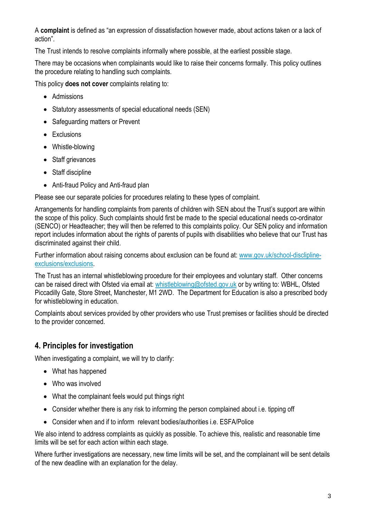A **complaint** is defined as "an expression of dissatisfaction however made, about actions taken or a lack of action".

The Trust intends to resolve complaints informally where possible, at the earliest possible stage.

There may be occasions when complainants would like to raise their concerns formally. This policy outlines the procedure relating to handling such complaints.

This policy **does not cover** complaints relating to:

- Admissions
- Statutory assessments of special educational needs (SEN)
- Safeguarding matters or Prevent
- Exclusions
- Whistle-blowing
- Staff grievances
- Staff discipline
- Anti-fraud Policy and Anti-fraud plan

Please see our separate policies for procedures relating to these types of complaint.

Arrangements for handling complaints from parents of children with SEN about the Trust's support are within the scope of this policy. Such complaints should first be made to the special educational needs co-ordinator (SENCO) or Headteacher; they will then be referred to this complaints policy. Our SEN policy and information report includes information about the rights of parents of pupils with disabilities who believe that our Trust has discriminated against their child.

Further information about raising concerns about exclusion can be found at: [www.gov.uk/school-disclipline](http://www.gov.uk/school-disclipline-exclusions/exclusions)[exclusions/exclusions.](http://www.gov.uk/school-disclipline-exclusions/exclusions)

The Trust has an internal whistleblowing procedure for their employees and voluntary staff. Other concerns can be raised direct with Ofsted via email at: [whistleblowing@ofsted.gov.uk](mailto:whistleblowing@ofsted.gov.uk) or by writing to: WBHL, Ofsted Piccadilly Gate, Store Street, Manchester, M1 2WD. The Department for Education is also a prescribed body for whistleblowing in education.

Complaints about services provided by other providers who use Trust premises or facilities should be directed to the provider concerned.

# **4. Principles for investigation**

When investigating a complaint, we will try to clarify:

- What has happened
- Who was involved
- What the complainant feels would put things right
- Consider whether there is any risk to informing the person complained about i.e. tipping off
- Consider when and if to inform relevant bodies/authorities i.e. ESFA/Police

We also intend to address complaints as quickly as possible. To achieve this, realistic and reasonable time limits will be set for each action within each stage.

Where further investigations are necessary, new time limits will be set, and the complainant will be sent details of the new deadline with an explanation for the delay.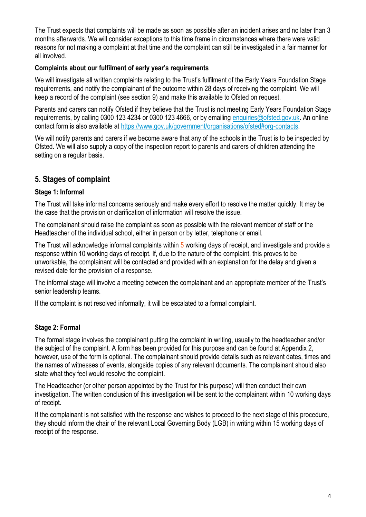The Trust expects that complaints will be made as soon as possible after an incident arises and no later than 3 months afterwards. We will consider exceptions to this time frame in circumstances where there were valid reasons for not making a complaint at that time and the complaint can still be investigated in a fair manner for all involved.

#### **Complaints about our fulfilment of early year's requirements**

We will investigate all written complaints relating to the Trust's fulfilment of the Early Years Foundation Stage requirements, and notify the complainant of the outcome within 28 days of receiving the complaint. We will keep a record of the complaint (see section 9) and make this available to Ofsted on request.

Parents and carers can notify Ofsted if they believe that the Trust is not meeting Early Years Foundation Stage requirements, by calling 0300 123 4234 or 0300 123 4666, or by emailing [enquiries@ofsted.gov.uk.](mailto:enquiries@ofsted.gov.uk) An online contact form is also available a[t https://www.gov.uk/government/organisations/ofsted#org-contacts.](https://www.gov.uk/government/organisations/ofsted#org-contacts)

We will notify parents and carers if we become aware that any of the schools in the Trust is to be inspected by Ofsted. We will also supply a copy of the inspection report to parents and carers of children attending the setting on a regular basis.

# **5. Stages of complaint**

## **Stage 1: Informal**

The Trust will take informal concerns seriously and make every effort to resolve the matter quickly. It may be the case that the provision or clarification of information will resolve the issue.

The complainant should raise the complaint as soon as possible with the relevant member of staff or the Headteacher of the individual school, either in person or by letter, telephone or email.

The Trust will acknowledge informal complaints within 5 working days of receipt, and investigate and provide a response within 10 working days of receipt. If, due to the nature of the complaint, this proves to be unworkable, the complainant will be contacted and provided with an explanation for the delay and given a revised date for the provision of a response.

The informal stage will involve a meeting between the complainant and an appropriate member of the Trust's senior leadership teams.

If the complaint is not resolved informally, it will be escalated to a formal complaint.

## **Stage 2: Formal**

The formal stage involves the complainant putting the complaint in writing, usually to the headteacher and/or the subject of the complaint. A form has been provided for this purpose and can be found at Appendix 2, however, use of the form is optional. The complainant should provide details such as relevant dates, times and the names of witnesses of events, alongside copies of any relevant documents. The complainant should also state what they feel would resolve the complaint.

The Headteacher (or other person appointed by the Trust for this purpose) will then conduct their own investigation. The written conclusion of this investigation will be sent to the complainant within 10 working days of receipt.

If the complainant is not satisfied with the response and wishes to proceed to the next stage of this procedure, they should inform the chair of the relevant Local Governing Body (LGB) in writing within 15 working days of receipt of the response.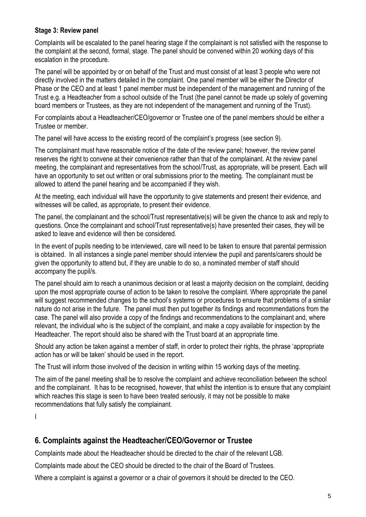#### **Stage 3: Review panel**

Complaints will be escalated to the panel hearing stage if the complainant is not satisfied with the response to the complaint at the second, formal, stage. The panel should be convened within 20 working days of this escalation in the procedure.

The panel will be appointed by or on behalf of the Trust and must consist of at least 3 people who were not directly involved in the matters detailed in the complaint. One panel member will be either the Director of Phase or the CEO and at least 1 panel member must be independent of the management and running of the Trust e.g. a Headteacher from a school outside of the Trust (the panel cannot be made up solely of governing board members or Trustees, as they are not independent of the management and running of the Trust).

For complaints about a Headteacher/CEO/governor or Trustee one of the panel members should be either a Trustee or member.

The panel will have access to the existing record of the complaint's progress (see section 9).

The complainant must have reasonable notice of the date of the review panel; however, the review panel reserves the right to convene at their convenience rather than that of the complainant. At the review panel meeting, the complainant and representatives from the school/Trust, as appropriate, will be present. Each will have an opportunity to set out written or oral submissions prior to the meeting. The complainant must be allowed to attend the panel hearing and be accompanied if they wish.

At the meeting, each individual will have the opportunity to give statements and present their evidence, and witnesses will be called, as appropriate, to present their evidence.

The panel, the complainant and the school/Trust representative(s) will be given the chance to ask and reply to questions. Once the complainant and school/Trust representative(s) have presented their cases, they will be asked to leave and evidence will then be considered.

In the event of pupils needing to be interviewed, care will need to be taken to ensure that parental permission is obtained. In all instances a single panel member should interview the pupil and parents/carers should be given the opportunity to attend but, if they are unable to do so, a nominated member of staff should accompany the pupil/s.

The panel should aim to reach a unanimous decision or at least a majority decision on the complaint, deciding upon the most appropriate course of action to be taken to resolve the complaint. Where appropriate the panel will suggest recommended changes to the school's systems or procedures to ensure that problems of a similar nature do not arise in the future. The panel must then put together its findings and recommendations from the case. The panel will also provide a copy of the findings and recommendations to the complainant and, where relevant, the individual who is the subject of the complaint, and make a copy available for inspection by the Headteacher. The report should also be shared with the Trust board at an appropriate time.

Should any action be taken against a member of staff, in order to protect their rights, the phrase 'appropriate action has or will be taken' should be used in the report.

The Trust will inform those involved of the decision in writing within 15 working days of the meeting.

The aim of the panel meeting shall be to resolve the complaint and achieve reconciliation between the school and the complainant. It has to be recognised, however, that whilst the intention is to ensure that any complaint which reaches this stage is seen to have been treated seriously, it may not be possible to make recommendations that fully satisfy the complainant.

I

# **6. Complaints against the Headteacher/CEO/Governor or Trustee**

Complaints made about the Headteacher should be directed to the chair of the relevant LGB.

Complaints made about the CEO should be directed to the chair of the Board of Trustees.

Where a complaint is against a governor or a chair of governors it should be directed to the CEO.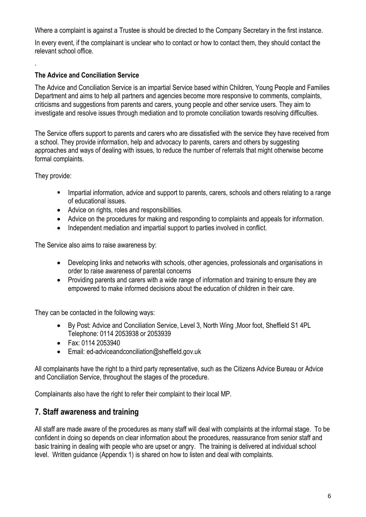Where a complaint is against a Trustee is should be directed to the Company Secretary in the first instance.

In every event, if the complainant is unclear who to contact or how to contact them, they should contact the relevant school office.

## **The Advice and Conciliation Service**

The Advice and Conciliation Service is an impartial Service based within Children, Young People and Families Department and aims to help all partners and agencies become more responsive to comments, complaints, criticisms and suggestions from parents and carers, young people and other service users. They aim to investigate and resolve issues through mediation and to promote conciliation towards resolving difficulties.

The Service offers support to parents and carers who are dissatisfied with the service they have received from a school. They provide information, help and advocacy to parents, carers and others by suggesting approaches and ways of dealing with issues, to reduce the number of referrals that might otherwise become formal complaints.

They provide:

.

- Impartial information, advice and support to parents, carers, schools and others relating to a range of educational issues.
- Advice on rights, roles and responsibilities.
- Advice on the procedures for making and responding to complaints and appeals for information.
- Independent mediation and impartial support to parties involved in conflict.

The Service also aims to raise awareness by:

- Developing links and networks with schools, other agencies, professionals and organisations in order to raise awareness of parental concerns
- Providing parents and carers with a wide range of information and training to ensure they are empowered to make informed decisions about the education of children in their care.

They can be contacted in the following ways:

- By Post: Advice and Conciliation Service, Level 3, North Wing ,Moor foot, Sheffield S1 4PL Telephone: 0114 2053938 or 2053939
- Fax: 0114 2053940
- Email: [ed-adviceandconciliation@sheffield.gov.uk](mailto:ed-adviceandconciliation@sheffield.gov.uk)

All complainants have the right to a third party representative, such as the Citizens Advice Bureau or Advice and Conciliation Service, throughout the stages of the procedure.

Complainants also have the right to refer their complaint to their local MP.

## **7. Staff awareness and training**

All staff are made aware of the procedures as many staff will deal with complaints at the informal stage. To be confident in doing so depends on clear information about the procedures, reassurance from senior staff and basic training in dealing with people who are upset or angry. The training is delivered at individual school level. Written guidance (Appendix 1) is shared on how to listen and deal with complaints.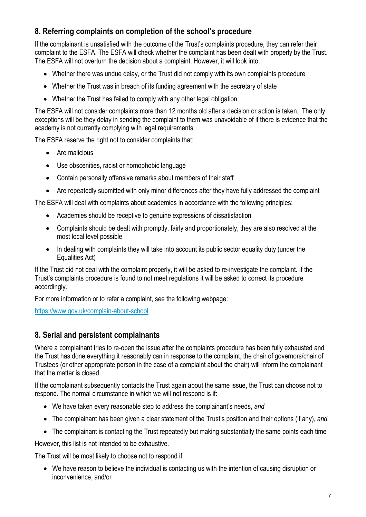# **8. Referring complaints on completion of the school's procedure**

If the complainant is unsatisfied with the outcome of the Trust's complaints procedure, they can refer their complaint to the ESFA. The ESFA will check whether the complaint has been dealt with properly by the Trust. The ESFA will not overturn the decision about a complaint. However, it will look into:

- Whether there was undue delay, or the Trust did not comply with its own complaints procedure
- Whether the Trust was in breach of its funding agreement with the secretary of state
- Whether the Trust has failed to comply with any other legal obligation

The ESFA will not consider complaints more than 12 months old after a decision or action is taken. The only exceptions will be they delay in sending the complaint to them was unavoidable of if there is evidence that the academy is not currently complying with legal requirements.

The ESFA reserve the right not to consider complaints that:

- Are malicious
- Use obscenities, racist or homophobic language
- Contain personally offensive remarks about members of their staff
- Are repeatedly submitted with only minor differences after they have fully addressed the complaint

The ESFA will deal with complaints about academies in accordance with the following principles:

- Academies should be receptive to genuine expressions of dissatisfaction
- Complaints should be dealt with promptly, fairly and proportionately, they are also resolved at the most local level possible
- In dealing with complaints they will take into account its public sector equality duty (under the Equalities Act)

If the Trust did not deal with the complaint properly, it will be asked to re-investigate the complaint. If the Trust's complaints procedure is found to not meet regulations it will be asked to correct its procedure accordingly.

For more information or to refer a complaint, see the following webpage:

<https://www.gov.uk/complain-about-school>

## **8. Serial and persistent complainants**

Where a complainant tries to re-open the issue after the complaints procedure has been fully exhausted and the Trust has done everything it reasonably can in response to the complaint, the chair of governors/chair of Trustees (or other appropriate person in the case of a complaint about the chair) will inform the complainant that the matter is closed.

If the complainant subsequently contacts the Trust again about the same issue, the Trust can choose not to respond. The normal circumstance in which we will not respond is if:

- We have taken every reasonable step to address the complainant's needs, *and*
- The complainant has been given a clear statement of the Trust's position and their options (if any), *and*
- The complainant is contacting the Trust repeatedly but making substantially the same points each time

However, this list is not intended to be exhaustive.

The Trust will be most likely to choose not to respond if:

• We have reason to believe the individual is contacting us with the intention of causing disruption or inconvenience, and/or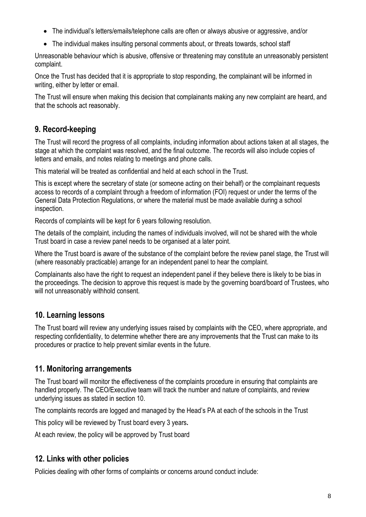- The individual's letters/emails/telephone calls are often or always abusive or aggressive, and/or
- The individual makes insulting personal comments about, or threats towards, school staff

Unreasonable behaviour which is abusive, offensive or threatening may constitute an unreasonably persistent complaint.

Once the Trust has decided that it is appropriate to stop responding, the complainant will be informed in writing, either by letter or email.

The Trust will ensure when making this decision that complainants making any new complaint are heard, and that the schools act reasonably.

# **9. Record-keeping**

The Trust will record the progress of all complaints, including information about actions taken at all stages, the stage at which the complaint was resolved, and the final outcome. The records will also include copies of letters and emails, and notes relating to meetings and phone calls.

This material will be treated as confidential and held at each school in the Trust.

This is except where the secretary of state (or someone acting on their behalf) or the complainant requests access to records of a complaint through a freedom of information (FOI) request or under the terms of the General Data Protection Regulations, or where the material must be made available during a school inspection.

Records of complaints will be kept for 6 years following resolution.

The details of the complaint, including the names of individuals involved, will not be shared with the whole Trust board in case a review panel needs to be organised at a later point.

Where the Trust board is aware of the substance of the complaint before the review panel stage, the Trust will (where reasonably practicable) arrange for an independent panel to hear the complaint.

Complainants also have the right to request an independent panel if they believe there is likely to be bias in the proceedings. The decision to approve this request is made by the governing board/board of Trustees, who will not unreasonably withhold consent.

# **10. Learning lessons**

The Trust board will review any underlying issues raised by complaints with the CEO, where appropriate, and respecting confidentiality, to determine whether there are any improvements that the Trust can make to its procedures or practice to help prevent similar events in the future.

# **11. Monitoring arrangements**

The Trust board will monitor the effectiveness of the complaints procedure in ensuring that complaints are handled properly. The CEO/Executive team will track the number and nature of complaints, and review underlying issues as stated in section 10.

The complaints records are logged and managed by the Head's PA at each of the schools in the Trust

This policy will be reviewed by Trust board every 3 years**.**

At each review, the policy will be approved by Trust board

# **12. Links with other policies**

Policies dealing with other forms of complaints or concerns around conduct include: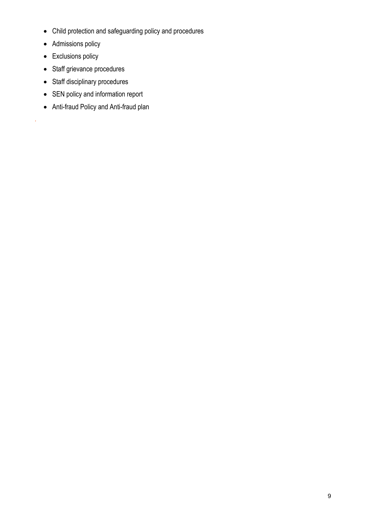- Child protection and safeguarding policy and procedures
- Admissions policy
- Exclusions policy

*.*

- Staff grievance procedures
- Staff disciplinary procedures
- SEN policy and information report
- Anti-fraud Policy and Anti-fraud plan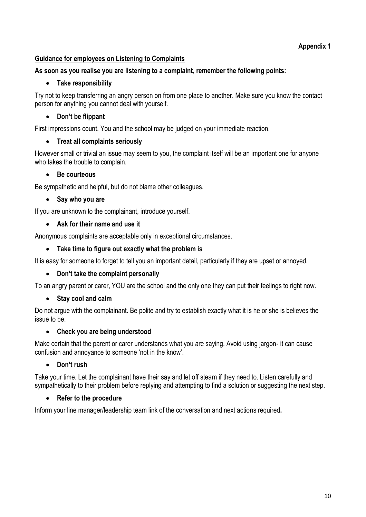## **Appendix 1**

## **Guidance for employees on Listening to Complaints**

### **As soon as you realise you are listening to a complaint, remember the following points:**

### • **Take responsibility**

Try not to keep transferring an angry person on from one place to another. Make sure you know the contact person for anything you cannot deal with yourself.

### • **Don't be flippant**

First impressions count. You and the school may be judged on your immediate reaction.

### • **Treat all complaints seriously**

However small or trivial an issue may seem to you, the complaint itself will be an important one for anyone who takes the trouble to complain.

### • **Be courteous**

Be sympathetic and helpful, but do not blame other colleagues.

### • **Say who you are**

If you are unknown to the complainant, introduce yourself.

### • **Ask for their name and use it**

Anonymous complaints are acceptable only in exceptional circumstances.

### • **Take time to figure out exactly what the problem is**

It is easy for someone to forget to tell you an important detail, particularly if they are upset or annoyed.

## • **Don't take the complaint personally**

To an angry parent or carer, YOU are the school and the only one they can put their feelings to right now.

## • **Stay cool and calm**

Do not argue with the complainant. Be polite and try to establish exactly what it is he or she is believes the issue to be.

## • **Check you are being understood**

Make certain that the parent or carer understands what you are saying. Avoid using jargon- it can cause confusion and annoyance to someone 'not in the know'.

## • **Don't rush**

Take your time. Let the complainant have their say and let off steam if they need to. Listen carefully and sympathetically to their problem before replying and attempting to find a solution or suggesting the next step.

## • **Refer to the procedure**

Inform your line manager/leadership team link of the conversation and next actions required**.**